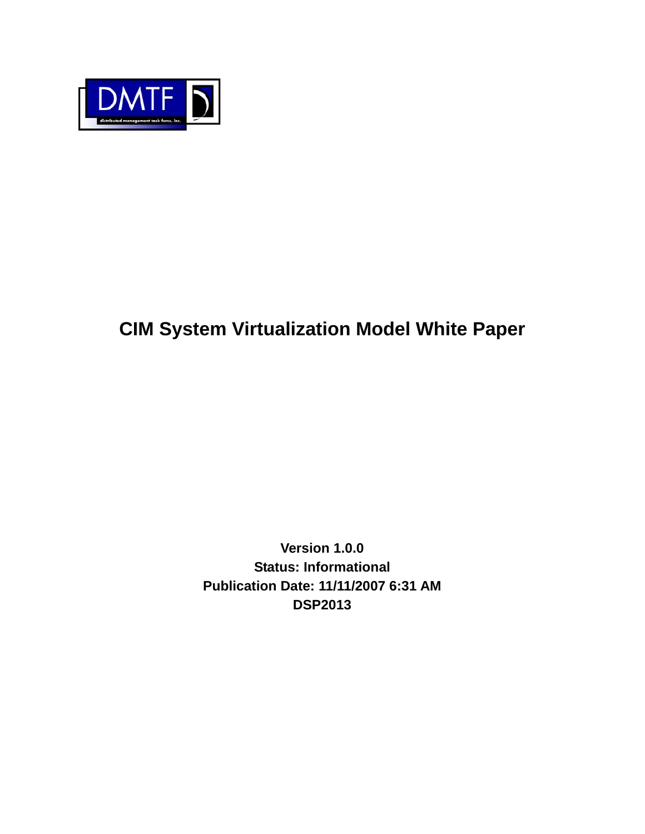<span id="page-0-0"></span>

# **CIM System Virtualization Model White Paper**

**Version 1.0.0 Status: Informational Publication Date: 11/11/2007 6:31 AM DSP2013**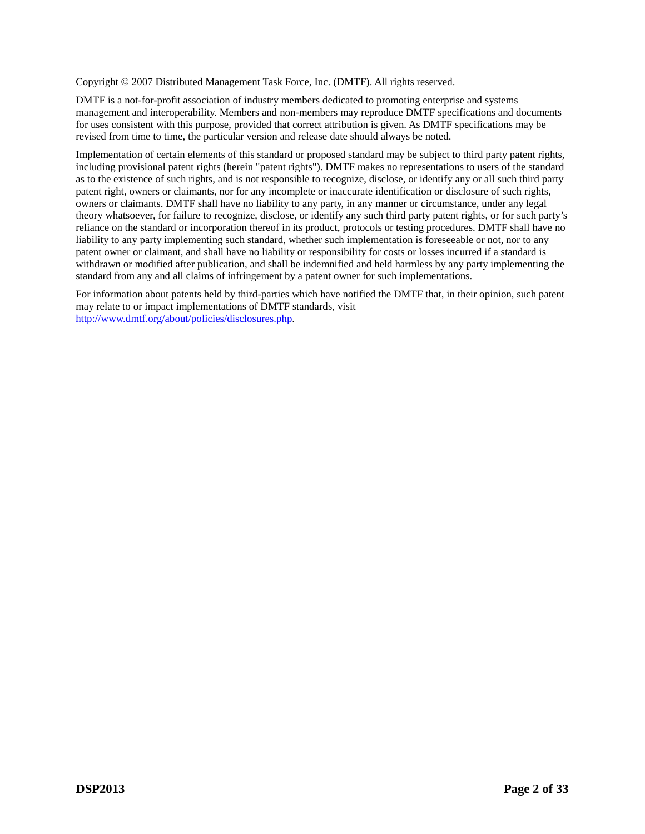Copyright © 2007 Distributed Management Task Force, Inc. (DMTF). All rights reserved.

DMTF is a not-for-profit association of industry members dedicated to promoting enterprise and systems management and interoperability. Members and non-members may reproduce DMTF specifications and documents for uses consistent with this purpose, provided that correct attribution is given. As DMTF specifications may be revised from time to time, the particular version and release date should always be noted.

Implementation of certain elements of this standard or proposed standard may be subject to third party patent rights, including provisional patent rights (herein "patent rights"). DMTF makes no representations to users of the standard as to the existence of such rights, and is not responsible to recognize, disclose, or identify any or all such third party patent right, owners or claimants, nor for any incomplete or inaccurate identification or disclosure of such rights, owners or claimants. DMTF shall have no liability to any party, in any manner or circumstance, under any legal theory whatsoever, for failure to recognize, disclose, or identify any such third party patent rights, or for such party's reliance on the standard or incorporation thereof in its product, protocols or testing procedures. DMTF shall have no liability to any party implementing such standard, whether such implementation is foreseeable or not, nor to any patent owner or claimant, and shall have no liability or responsibility for costs or losses incurred if a standard is withdrawn or modified after publication, and shall be indemnified and held harmless by any party implementing the standard from any and all claims of infringement by a patent owner for such implementations.

For information about patents held by third-parties which have notified the DMTF that, in their opinion, such patent may relate to or impact implementations of DMTF standards, visit <http://www.dmtf.org/about/policies/disclosures.php>.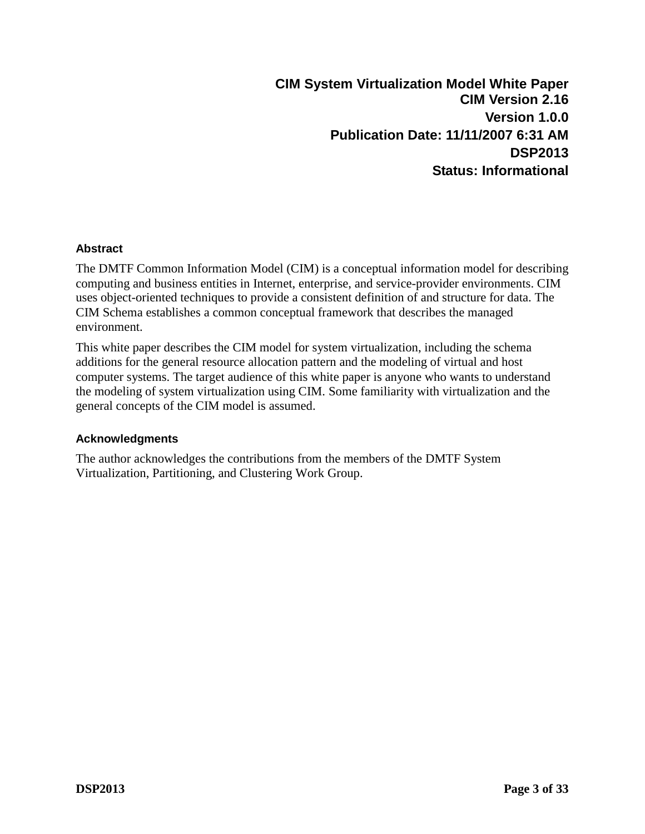**CIM System Virtualization Model White Paper CIM Version 2.16 Version 1.0.0 Publication Date: 11/11/2007 6:31 AM DSP2013 Status: Informational**

#### <span id="page-2-0"></span>**Abstract**

The DMTF Common Information Model (CIM) is a conceptual information model for describing computing and business entities in Internet, enterprise, and service-provider environments. CIM uses object-oriented techniques to provide a consistent definition of and structure for data. The CIM Schema establishes a common conceptual framework that describes the managed environment.

This white paper describes the CIM model for system virtualization, including the schema additions for the general resource allocation pattern and the modeling of virtual and host computer systems. The target audience of this white paper is anyone who wants to understand the modeling of system virtualization using CIM. Some familiarity with virtualization and the general concepts of the CIM model is assumed.

#### **Acknowledgments**

The author acknowledges the contributions from the members of the DMTF System Virtualization, Partitioning, and Clustering Work Group.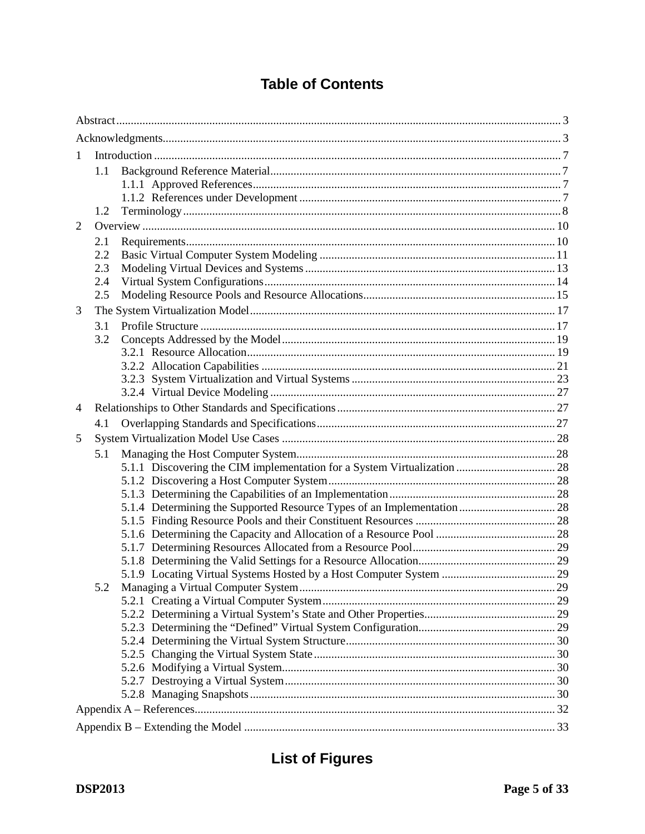# **Table of Contents**

| 1              |  |  |  |
|----------------|--|--|--|
| 1.1            |  |  |  |
|                |  |  |  |
|                |  |  |  |
| 1.2            |  |  |  |
| 2              |  |  |  |
| 2.1            |  |  |  |
| 2.2            |  |  |  |
| 2.3            |  |  |  |
| 2.4            |  |  |  |
| 2.5            |  |  |  |
| 3              |  |  |  |
| 3.1            |  |  |  |
| 3.2            |  |  |  |
|                |  |  |  |
|                |  |  |  |
|                |  |  |  |
|                |  |  |  |
| $\overline{4}$ |  |  |  |
| 4.1            |  |  |  |
| 5              |  |  |  |
| 5.1            |  |  |  |
|                |  |  |  |
|                |  |  |  |
|                |  |  |  |
|                |  |  |  |
|                |  |  |  |
|                |  |  |  |
|                |  |  |  |
|                |  |  |  |
| 5.2            |  |  |  |
|                |  |  |  |
|                |  |  |  |
|                |  |  |  |
|                |  |  |  |
|                |  |  |  |
|                |  |  |  |
|                |  |  |  |
|                |  |  |  |
|                |  |  |  |
|                |  |  |  |

# **List of Figures**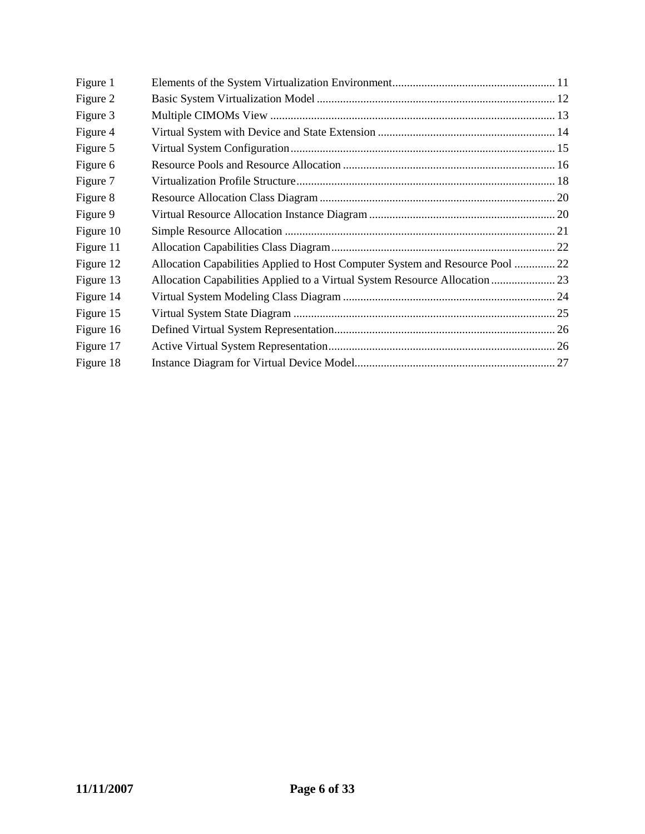| Figure 1  |                                                                               |  |
|-----------|-------------------------------------------------------------------------------|--|
| Figure 2  |                                                                               |  |
| Figure 3  |                                                                               |  |
| Figure 4  |                                                                               |  |
| Figure 5  |                                                                               |  |
| Figure 6  |                                                                               |  |
| Figure 7  |                                                                               |  |
| Figure 8  |                                                                               |  |
| Figure 9  |                                                                               |  |
| Figure 10 |                                                                               |  |
| Figure 11 |                                                                               |  |
| Figure 12 | Allocation Capabilities Applied to Host Computer System and Resource Pool  22 |  |
| Figure 13 |                                                                               |  |
| Figure 14 |                                                                               |  |
| Figure 15 |                                                                               |  |
| Figure 16 |                                                                               |  |
| Figure 17 |                                                                               |  |
| Figure 18 |                                                                               |  |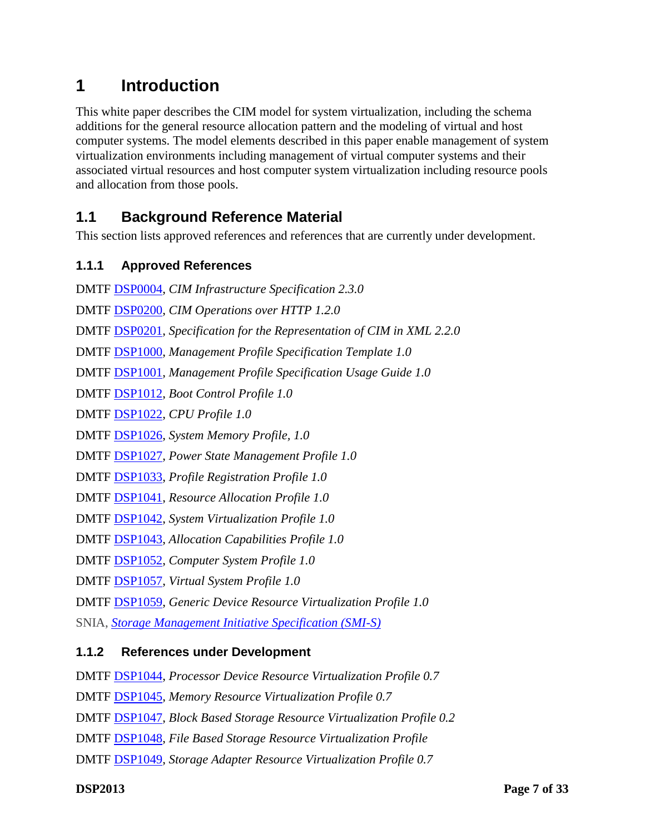# <span id="page-6-0"></span>**1 Introduction**

This white paper describes the CIM model for system virtualization, including the schema additions for the general resource allocation pattern and the modeling of virtual and host computer systems. The model elements described in this paper enable management of system virtualization environments including management of virtual computer systems and their associated virtual resources and host computer system virtualization including resource pools and allocation from those pools.

# **1.1 Background Reference Material**

This section lists approved references and references that are currently under development.

### **1.1.1 Approved References**

DMTF [DSP0004](http://www.dmtf.org/standards/published_documents/DSP0004V2.3_final.pdf), *CIM Infrastructure Specification 2.3.0* DMTF [DSP0200](http://www.dmtf.org/standards/published_documents/DSP200.pdf), *CIM Operations over HTTP 1.2.0* DMTF [DSP0201](http://www.dmtf.org/standards/wbem/DSP201.html#SecCLASS), *Specification for the Representation of CIM in XML 2.2.0* DMTF [DSP1000](http://www.dmtf.org/standards/published_documents/DSP1000.pdf), *Management Profile Specification Template 1.0* DMTF [DSP1001](http://www.dmtf.org/standards/published_documents/DSP1001.pdf), *Management Profile Specification Usage Guide 1.0* DMTF [DSP1012](http://www.dmtf.org/apps/org/workgroup/svrmgmt/download.php/21576/DMTF-Boot_Control_Profile-1.0.0c.doc), *Boot Control Profile 1.0* DMTF [DSP1022](http://www.dmtf.org/standards/published_documents/DSP1022.pdf), *CPU Profile 1.0*  DMTF [DSP1026](http://www.dmtf.org/standards/published_documents/DSP1026.pdf), *System Memory Profile, 1.0* DMTF [DSP1027](http://www.dmtf.org/standards/published_documents/DSP1027.pdf), *Power State Management Profile 1.0* DMTF [DSP1033](http://www.dmtf.org/standards/published_documents/DSP1033.pdf), *Profile Registration Profile 1.0* DMTF [DSP1041](http://www.dmtf.org/standards/published_documents/DSP1041.pdf), *Resource Allocation Profile 1.0*  DMTF [DSP1042](http://www.dmtf.org/standards/published_documents/DSP1042.pdf), *System Virtualization Profile 1.0* DMTF [DSP1043](http://www.dmtf.org/standards/published_documents/DSP1043.pdf), *Allocation Capabilities Profile 1.0* DMTF [DSP1052](http://www.dmtf.org/standards/published_documents/DSP1052.pdf), *Computer System Profile 1.0* DMTF [DSP1057](http://www.dmtf.org/apps/org/workgroup/redundancy/download.php/22157/DMTF-Virtual_System_Profile_0_7_5_a.pdf), *Virtual System Profile 1.0*  DMTF [DSP1059](http://www.dmtf.org/apps/org/workgroup/redundancy/download.php/21449/Generic_Device_Resource_Virtualization_Profile-0.5.doc), *Generic Device Resource Virtualization Profile 1.0*  SNIA, *[Storage Management Initiative Specification \(SMI-S\)](http://www.snia.org/tech_activities/standards/curr_standards/smi/)*

#### **1.1.2 References under Development**

DMTF [DSP1044](http://www.dmtf.org/apps/org/workgroup/redundancy/download.php/15977/CpuResourceVirtualizationProfile-v01.doc), *Processor Device Resource Virtualization Profile 0.7* DMTF [DSP1045](http://www.dmtf.org/apps/org/workgroup/redundancy/download.php/18939/DMTF_Memory_Resource_Virtualization_Profile_Diagrams.vsd), *Memory Resource Virtualization Profile 0.7* DMTF [DSP1047](http://www.dmtf.org/apps/org/workgroup/redundancy/download.php/21201/DMTF-Block_Based_Storage_Resource_Virtualization_Profile-0_2_0.doc), *Block Based Storage Resource Virtualization Profile 0.2* DMTF [DSP1048](http://www.dmtf.org/apps/org/workgroup/redundancy/download.php/18938/DMTF-Memory_Resource_Virtualization%20Profile_v0.7.doc), *File Based Storage Resource Virtualization Profile* DMTF [DSP1049](http://www.dmtf.org/apps/org/workgroup/redundancy/download.php/21202/DMTF-Storage_Adapter_Resource_Virtualization_Profile-0_2_0.doc), *Storage Adapter Resource Virtualization Profile 0.7*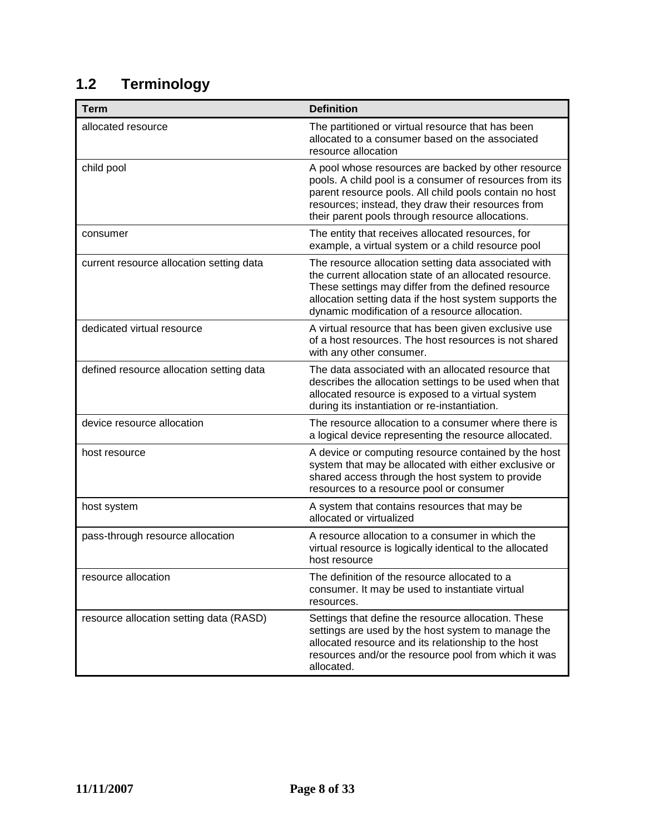<span id="page-7-0"></span>

| 1.2 | <b>Terminology</b> |
|-----|--------------------|
|     |                    |

| <b>Term</b>                              | <b>Definition</b>                                                                                                                                                                                                                                                                  |
|------------------------------------------|------------------------------------------------------------------------------------------------------------------------------------------------------------------------------------------------------------------------------------------------------------------------------------|
| allocated resource                       | The partitioned or virtual resource that has been<br>allocated to a consumer based on the associated<br>resource allocation                                                                                                                                                        |
| child pool                               | A pool whose resources are backed by other resource<br>pools. A child pool is a consumer of resources from its<br>parent resource pools. All child pools contain no host<br>resources; instead, they draw their resources from<br>their parent pools through resource allocations. |
| consumer                                 | The entity that receives allocated resources, for<br>example, a virtual system or a child resource pool                                                                                                                                                                            |
| current resource allocation setting data | The resource allocation setting data associated with<br>the current allocation state of an allocated resource.<br>These settings may differ from the defined resource<br>allocation setting data if the host system supports the<br>dynamic modification of a resource allocation. |
| dedicated virtual resource               | A virtual resource that has been given exclusive use<br>of a host resources. The host resources is not shared<br>with any other consumer.                                                                                                                                          |
| defined resource allocation setting data | The data associated with an allocated resource that<br>describes the allocation settings to be used when that<br>allocated resource is exposed to a virtual system<br>during its instantiation or re-instantiation.                                                                |
| device resource allocation               | The resource allocation to a consumer where there is<br>a logical device representing the resource allocated.                                                                                                                                                                      |
| host resource                            | A device or computing resource contained by the host<br>system that may be allocated with either exclusive or<br>shared access through the host system to provide<br>resources to a resource pool or consumer                                                                      |
| host system                              | A system that contains resources that may be<br>allocated or virtualized                                                                                                                                                                                                           |
| pass-through resource allocation         | A resource allocation to a consumer in which the<br>virtual resource is logically identical to the allocated<br>host resource                                                                                                                                                      |
| resource allocation                      | The definition of the resource allocated to a<br>consumer. It may be used to instantiate virtual<br>resources.                                                                                                                                                                     |
| resource allocation setting data (RASD)  | Settings that define the resource allocation. These<br>settings are used by the host system to manage the<br>allocated resource and its relationship to the host<br>resources and/or the resource pool from which it was<br>allocated.                                             |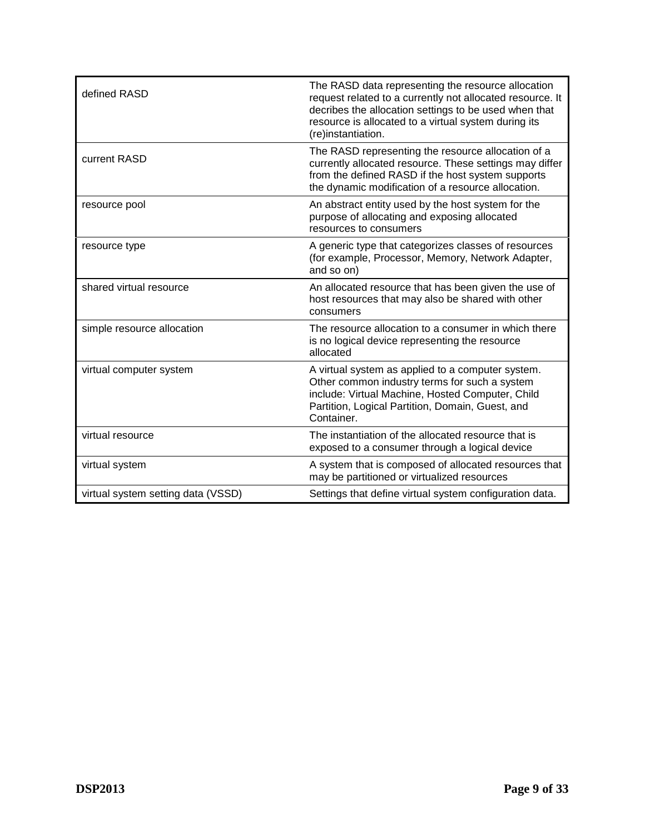| defined RASD                       | The RASD data representing the resource allocation<br>request related to a currently not allocated resource. It<br>decribes the allocation settings to be used when that<br>resource is allocated to a virtual system during its<br>(re)instantiation. |
|------------------------------------|--------------------------------------------------------------------------------------------------------------------------------------------------------------------------------------------------------------------------------------------------------|
| current RASD                       | The RASD representing the resource allocation of a<br>currently allocated resource. These settings may differ<br>from the defined RASD if the host system supports<br>the dynamic modification of a resource allocation.                               |
| resource pool                      | An abstract entity used by the host system for the<br>purpose of allocating and exposing allocated<br>resources to consumers                                                                                                                           |
| resource type                      | A generic type that categorizes classes of resources<br>(for example, Processor, Memory, Network Adapter,<br>and so on)                                                                                                                                |
| shared virtual resource            | An allocated resource that has been given the use of<br>host resources that may also be shared with other<br>consumers                                                                                                                                 |
| simple resource allocation         | The resource allocation to a consumer in which there<br>is no logical device representing the resource<br>allocated                                                                                                                                    |
| virtual computer system            | A virtual system as applied to a computer system.<br>Other common industry terms for such a system<br>include: Virtual Machine, Hosted Computer, Child<br>Partition, Logical Partition, Domain, Guest, and<br>Container.                               |
| virtual resource                   | The instantiation of the allocated resource that is<br>exposed to a consumer through a logical device                                                                                                                                                  |
| virtual system                     | A system that is composed of allocated resources that<br>may be partitioned or virtualized resources                                                                                                                                                   |
| virtual system setting data (VSSD) | Settings that define virtual system configuration data.                                                                                                                                                                                                |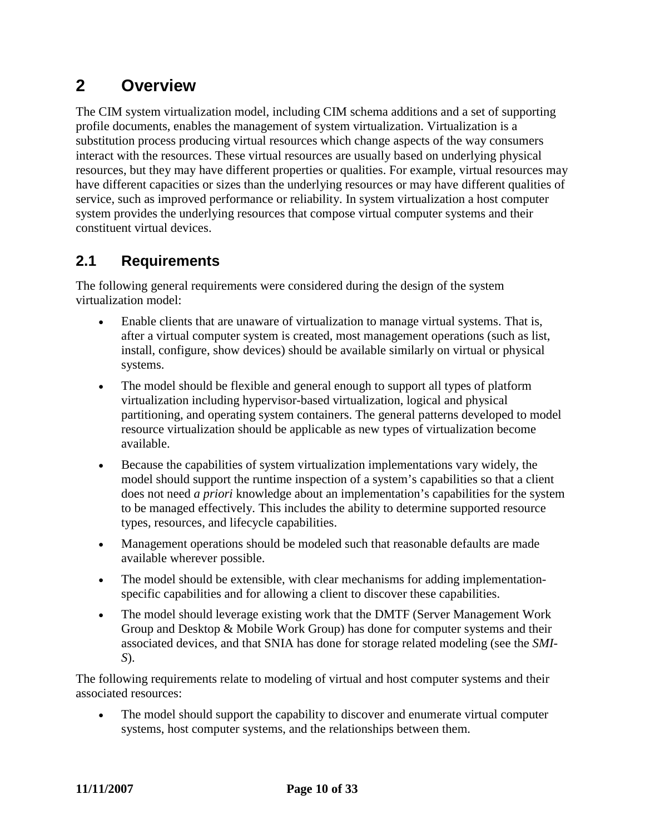# <span id="page-9-0"></span>**2 Overview**

The CIM system virtualization model, including CIM schema additions and a set of supporting profile documents, enables the management of system virtualization. Virtualization is a substitution process producing virtual resources which change aspects of the way consumers interact with the resources. These virtual resources are usually based on underlying physical resources, but they may have different properties or qualities. For example, virtual resources may have different capacities or sizes than the underlying resources or may have different qualities of service, such as improved performance or reliability. In system virtualization a host computer system provides the underlying resources that compose virtual computer systems and their constituent virtual devices.

# **2.1 Requirements**

The following general requirements were considered during the design of the system virtualization model:

- Enable clients that are unaware of virtualization to manage virtual systems. That is, after a virtual computer system is created, most management operations (such as list, install, configure, show devices) should be available similarly on virtual or physical systems.
- The model should be flexible and general enough to support all types of platform virtualization including hypervisor-based virtualization, logical and physical partitioning, and operating system containers. The general patterns developed to model resource virtualization should be applicable as new types of virtualization become available.
- Because the capabilities of system virtualization implementations vary widely, the model should support the runtime inspection of a system's capabilities so that a client does not need *a priori* knowledge about an implementation's capabilities for the system to be managed effectively. This includes the ability to determine supported resource types, resources, and lifecycle capabilities.
- Management operations should be modeled such that reasonable defaults are made available wherever possible.
- The model should be extensible, with clear mechanisms for adding implementationspecific capabilities and for allowing a client to discover these capabilities.
- The model should leverage existing work that the DMTF (Server Management Work Group and Desktop & Mobile Work Group) has done for computer systems and their associated devices, and that SNIA has done for storage related modeling (see the *SMI-S*).

The following requirements relate to modeling of virtual and host computer systems and their associated resources:

The model should support the capability to discover and enumerate virtual computer systems, host computer systems, and the relationships between them.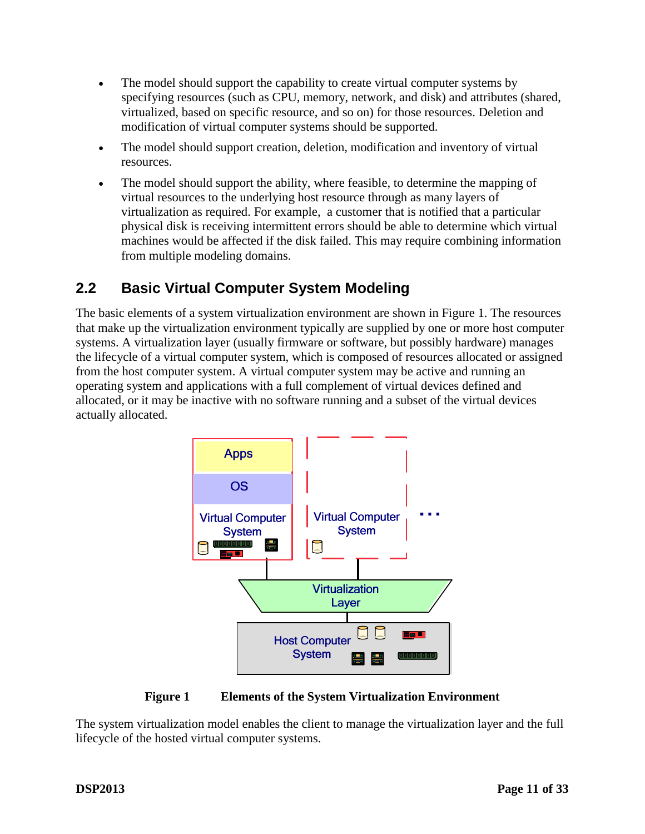- <span id="page-10-0"></span>• The model should support the capability to create virtual computer systems by specifying resources (such as CPU, memory, network, and disk) and attributes (shared, virtualized, based on specific resource, and so on) for those resources. Deletion and modification of virtual computer systems should be supported.
- The model should support creation, deletion, modification and inventory of virtual resources.
- The model should support the ability, where feasible, to determine the mapping of virtual resources to the underlying host resource through as many layers of virtualization as required. For example, a customer that is notified that a particular physical disk is receiving intermittent errors should be able to determine which virtual machines would be affected if the disk failed. This may require combining information from multiple modeling domains.

# **2.2 Basic Virtual Computer System Modeling**

The basic elements of a system virtualization environment are shown in [Figure 1.](#page-10-1) The resources that make up the virtualization environment typically are supplied by one or more host computer systems. A virtualization layer (usually firmware or software, but possibly hardware) manages the lifecycle of a virtual computer system, which is composed of resources allocated or assigned from the host computer system. A virtual computer system may be active and running an operating system and applications with a full complement of virtual devices defined and allocated, or it may be inactive with no software running and a subset of the virtual devices actually allocated.



**Figure 1 Elements of the System Virtualization Environment** 

<span id="page-10-1"></span>The system virtualization model enables the client to manage the virtualization layer and the full lifecycle of the hosted virtual computer systems.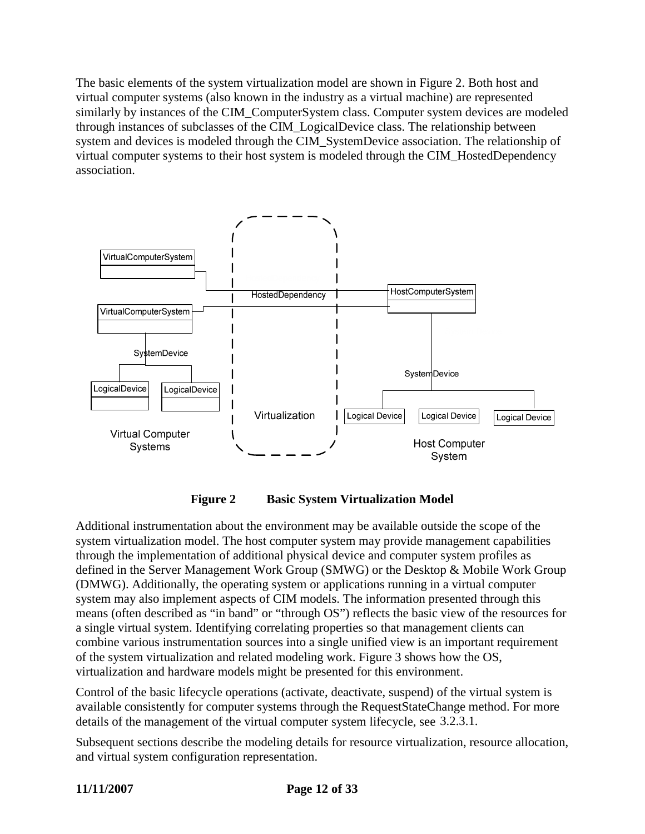<span id="page-11-0"></span>The basic elements of the system virtualization model are shown in [Figure 2](#page-11-1). Both host and virtual computer systems (also known in the industry as a virtual machine) are represented similarly by instances of the CIM\_ComputerSystem class. Computer system devices are modeled through instances of subclasses of the CIM\_LogicalDevice class. The relationship between system and devices is modeled through the CIM\_SystemDevice association. The relationship of virtual computer systems to their host system is modeled through the CIM\_HostedDependency association.



**Figure 2 Basic System Virtualization Model** 

<span id="page-11-1"></span>Additional instrumentation about the environment may be available outside the scope of the system virtualization model. The host computer system may provide management capabilities through the implementation of additional physical device and computer system profiles as defined in the Server Management Work Group (SMWG) or the Desktop & Mobile Work Group (DMWG). Additionally, the operating system or applications running in a virtual computer system may also implement aspects of CIM models. The information presented through this means (often described as "in band" or "through OS") reflects the basic view of the resources for a single virtual system. Identifying correlating properties so that management clients can combine various instrumentation sources into a single unified view is an important requirement of the system virtualization and related modeling work. [Figure 3](#page-12-1) shows how the OS, virtualization and hardware models might be presented for this environment.

Control of the basic lifecycle operations (activate, deactivate, suspend) of the virtual system is available consistently for computer systems through the RequestStateChange method. For more details of the management of the virtual computer system lifecycle, see [3.2.3.1.](#page-24-1)

Subsequent sections describe the modeling details for resource virtualization, resource allocation, and virtual system configuration representation.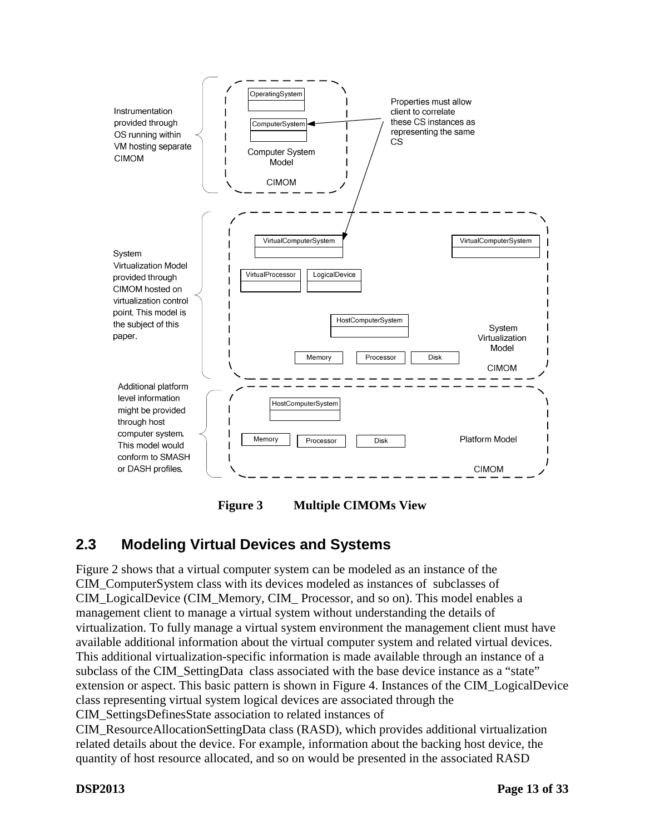<span id="page-12-0"></span>

**Figure 3 Multiple CIMOMs View** 

## <span id="page-12-1"></span>**2.3 Modeling Virtual Devices and Systems**

[Figure 2](#page-11-1) shows that a virtual computer system can be modeled as an instance of the CIM\_ComputerSystem class with its devices modeled as instances of subclasses of CIM\_LogicalDevice (CIM\_Memory, CIM\_ Processor, and so on). This model enables a management client to manage a virtual system without understanding the details of virtualization. To fully manage a virtual system environment the management client must have available additional information about the virtual computer system and related virtual devices. This additional virtualization-specific information is made available through an instance of a subclass of the CIM\_SettingData class associated with the base device instance as a "state" extension or aspect. This basic pattern is shown in [Figure 4](#page-13-1). Instances of the CIM\_LogicalDevice class representing virtual system logical devices are associated through the CIM\_SettingsDefinesState association to related instances of

CIM\_ResourceAllocationSettingData class (RASD), which provides additional virtualization related details about the device. For example, information about the backing host device, the quantity of host resource allocated, and so on would be presented in the associated RASD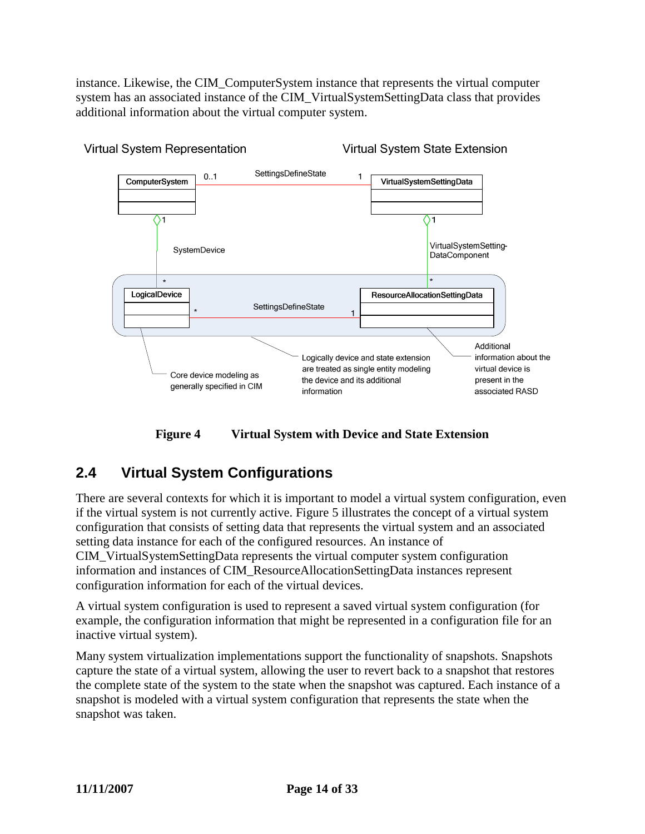<span id="page-13-0"></span>instance. Likewise, the CIM\_ComputerSystem instance that represents the virtual computer system has an associated instance of the CIM\_VirtualSystemSettingData class that provides additional information about the virtual computer system.



**Virtual System Representation** 

**Virtual System State Extension** 

**Figure 4 Virtual System with Device and State Extension** 

# <span id="page-13-1"></span>**2.4 Virtual System Configurations**

There are several contexts for which it is important to model a virtual system configuration, even if the virtual system is not currently active. [Figure 5](#page-14-1) illustrates the concept of a virtual system configuration that consists of setting data that represents the virtual system and an associated setting data instance for each of the configured resources. An instance of CIM\_VirtualSystemSettingData represents the virtual computer system configuration information and instances of CIM\_ResourceAllocationSettingData instances represent configuration information for each of the virtual devices.

A virtual system configuration is used to represent a saved virtual system configuration (for example, the configuration information that might be represented in a configuration file for an inactive virtual system).

Many system virtualization implementations support the functionality of snapshots. Snapshots capture the state of a virtual system, allowing the user to revert back to a snapshot that restores the complete state of the system to the state when the snapshot was captured. Each instance of a snapshot is modeled with a virtual system configuration that represents the state when the snapshot was taken.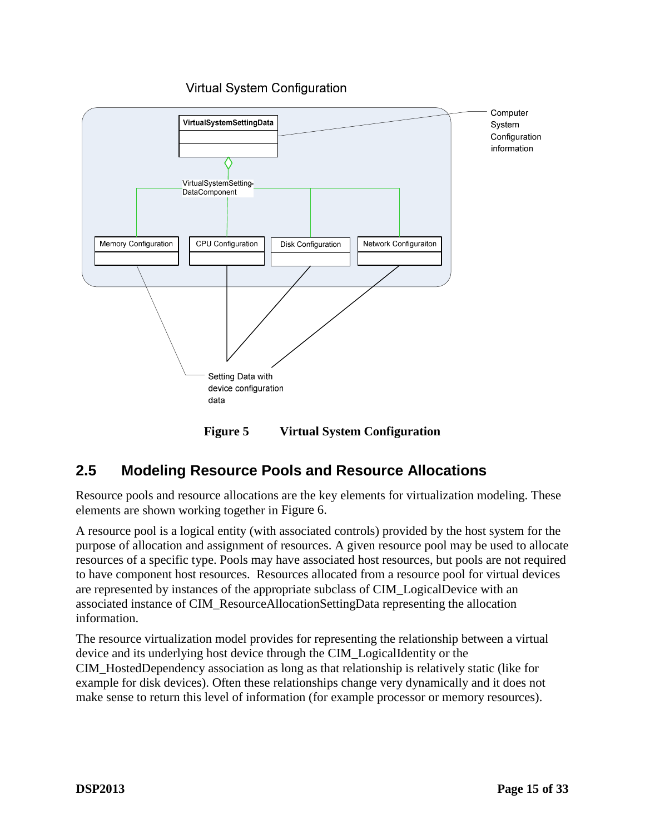## **Virtual System Configuration**

<span id="page-14-0"></span>

**Figure 5 Virtual System Configuration** 

# <span id="page-14-1"></span>**2.5 Modeling Resource Pools and Resource Allocations**

Resource pools and resource allocations are the key elements for virtualization modeling. These elements are shown working together in [Figure 6](#page-15-1).

A resource pool is a logical entity (with associated controls) provided by the host system for the purpose of allocation and assignment of resources. A given resource pool may be used to allocate resources of a specific type. Pools may have associated host resources, but pools are not required to have component host resources. Resources allocated from a resource pool for virtual devices are represented by instances of the appropriate subclass of CIM\_LogicalDevice with an associated instance of CIM\_ResourceAllocationSettingData representing the allocation information.

The resource virtualization model provides for representing the relationship between a virtual device and its underlying host device through the CIM\_LogicalIdentity or the CIM\_HostedDependency association as long as that relationship is relatively static (like for example for disk devices). Often these relationships change very dynamically and it does not make sense to return this level of information (for example processor or memory resources).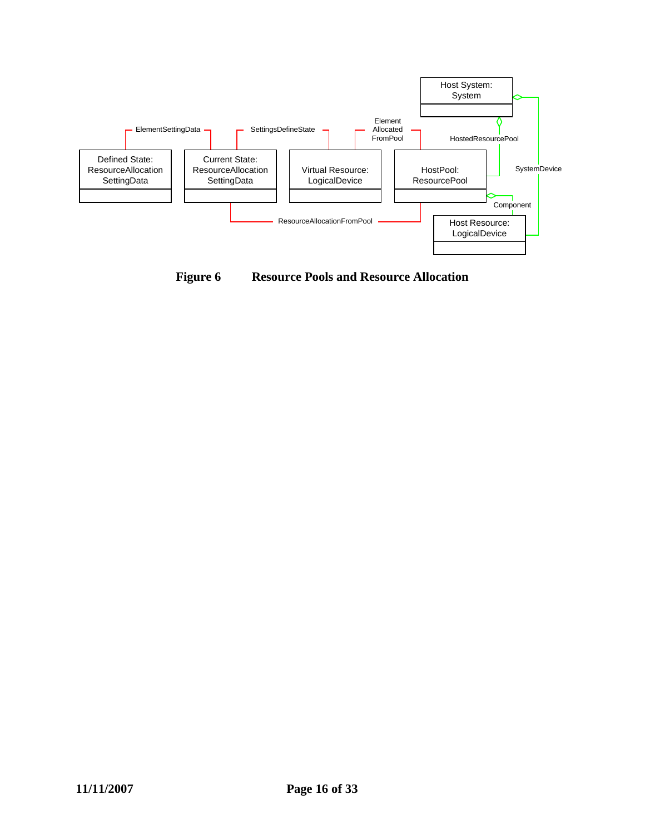<span id="page-15-0"></span>

<span id="page-15-1"></span>**Figure 6 Resource Pools and Resource Allocation**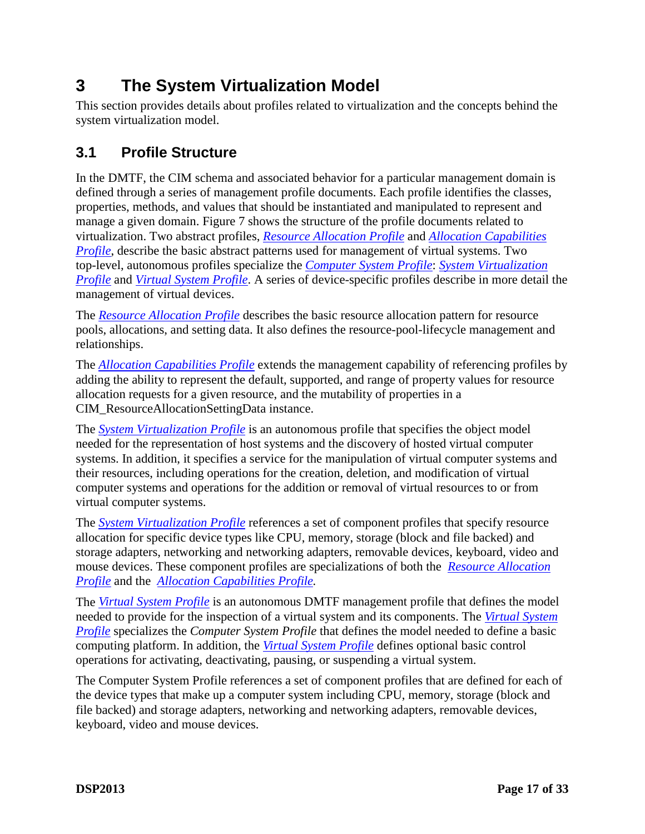# <span id="page-16-0"></span>**3 The System Virtualization Model**

This section provides details about profiles related to virtualization and the concepts behind the system virtualization model.

# **3.1 Profile Structure**

In the DMTF, the CIM schema and associated behavior for a particular management domain is defined through a series of management profile documents. Each profile identifies the classes, properties, methods, and values that should be instantiated and manipulated to represent and manage a given domain. [Figure 7](#page-17-1) shows the structure of the profile documents related to virtualization. Two abstract profiles, *[Resource Allocation Profile](#page-0-0)* and *[Allocation Capabilities](#page-0-0)  [Profile](#page-0-0)*, describe the basic abstract patterns used for management of virtual systems. Two top-level, autonomous profiles specialize the *[Computer System Profile](#page-6-0)*: *[System Virtualization](#page-0-0)  [Profile](#page-0-0)* and *[Virtual System Profile](#page-0-0)*. A series of device-specific profiles describe in more detail the management of virtual devices.

The *[Resource Allocation Profile](#page-0-0)* describes the basic resource allocation pattern for resource pools, allocations, and setting data. It also defines the resource-pool-lifecycle management and relationships.

The *[Allocation Capabilities Profile](#page-0-0)* extends the management capability of referencing profiles by adding the ability to represent the default, supported, and range of property values for resource allocation requests for a given resource, and the mutability of properties in a CIM\_ResourceAllocationSettingData instance.

The *[System Virtualization Profile](#page-0-0)* is an autonomous profile that specifies the object model needed for the representation of host systems and the discovery of hosted virtual computer systems. In addition, it specifies a service for the manipulation of virtual computer systems and their resources, including operations for the creation, deletion, and modification of virtual computer systems and operations for the addition or removal of virtual resources to or from virtual computer systems.

The *[System Virtualization Profile](#page-0-0)* references a set of component profiles that specify resource allocation for specific device types like CPU, memory, storage (block and file backed) and storage adapters, networking and networking adapters, removable devices, keyboard, video and mouse devices. These component profiles are specializations of both the *[Resource Allocation](#page-0-0)  [Profile](#page-0-0)* and the *[Allocation Capabilities Profile](#page-0-0).*

The *[Virtual System Profile](#page-0-0)* is an autonomous DMTF management profile that defines the model needed to provide for the inspection of a virtual system and its components. The *[Virtual System](#page-0-0)  [Profile](#page-0-0)* specializes the *Computer System Profile* that defines the model needed to define a basic computing platform. In addition, the *[Virtual System Profile](#page-0-0)* defines optional basic control operations for activating, deactivating, pausing, or suspending a virtual system.

The Computer System Profile references a set of component profiles that are defined for each of the device types that make up a computer system including CPU, memory, storage (block and file backed) and storage adapters, networking and networking adapters, removable devices, keyboard, video and mouse devices.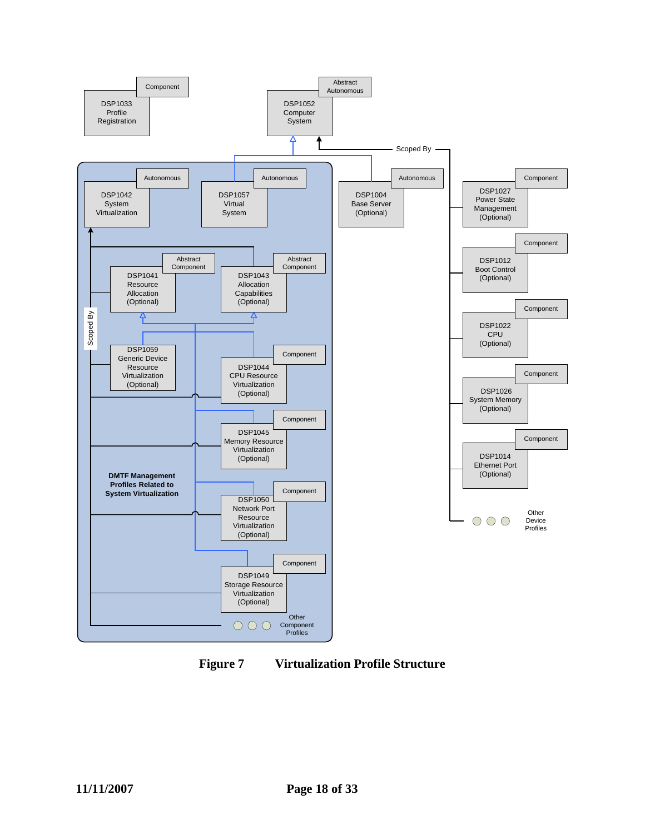<span id="page-17-0"></span>

<span id="page-17-1"></span>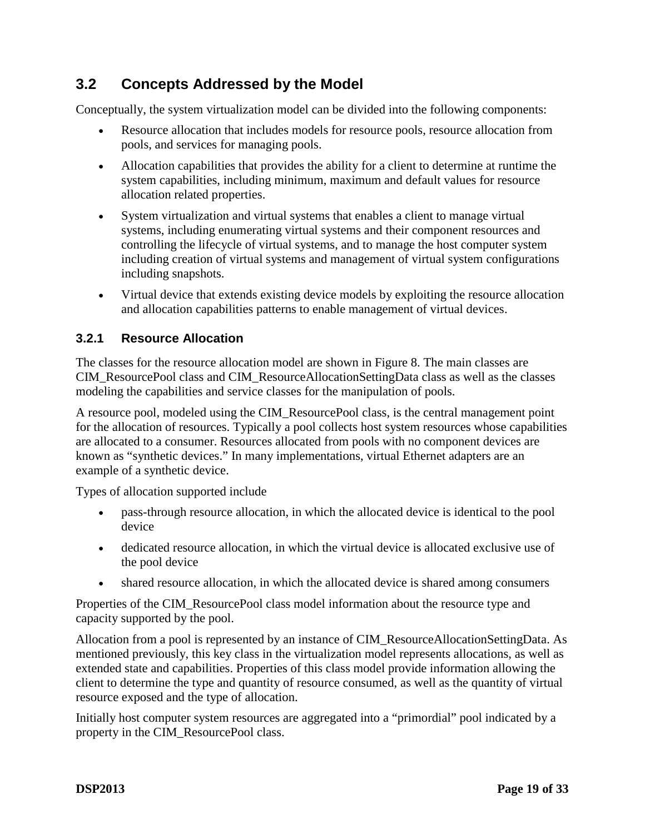# <span id="page-18-0"></span>**3.2 Concepts Addressed by the Model**

Conceptually, the system virtualization model can be divided into the following components:

- Resource allocation that includes models for resource pools, resource allocation from pools, and services for managing pools.
- Allocation capabilities that provides the ability for a client to determine at runtime the system capabilities, including minimum, maximum and default values for resource allocation related properties.
- System virtualization and virtual systems that enables a client to manage virtual systems, including enumerating virtual systems and their component resources and controlling the lifecycle of virtual systems, and to manage the host computer system including creation of virtual systems and management of virtual system configurations including snapshots.
- Virtual device that extends existing device models by exploiting the resource allocation and allocation capabilities patterns to enable management of virtual devices.

#### **3.2.1 Resource Allocation**

The classes for the resource allocation model are shown in [Figure 8](#page-19-1). The main classes are CIM\_ResourcePool class and CIM\_ResourceAllocationSettingData class as well as the classes modeling the capabilities and service classes for the manipulation of pools.

A resource pool, modeled using the CIM\_ResourcePool class, is the central management point for the allocation of resources. Typically a pool collects host system resources whose capabilities are allocated to a consumer. Resources allocated from pools with no component devices are known as "synthetic devices." In many implementations, virtual Ethernet adapters are an example of a synthetic device.

Types of allocation supported include

- pass-through resource allocation, in which the allocated device is identical to the pool device
- dedicated resource allocation, in which the virtual device is allocated exclusive use of the pool device
- shared resource allocation, in which the allocated device is shared among consumers

Properties of the CIM\_ResourcePool class model information about the resource type and capacity supported by the pool.

Allocation from a pool is represented by an instance of CIM\_ResourceAllocationSettingData. As mentioned previously, this key class in the virtualization model represents allocations, as well as extended state and capabilities. Properties of this class model provide information allowing the client to determine the type and quantity of resource consumed, as well as the quantity of virtual resource exposed and the type of allocation.

Initially host computer system resources are aggregated into a "primordial" pool indicated by a property in the CIM\_ResourcePool class.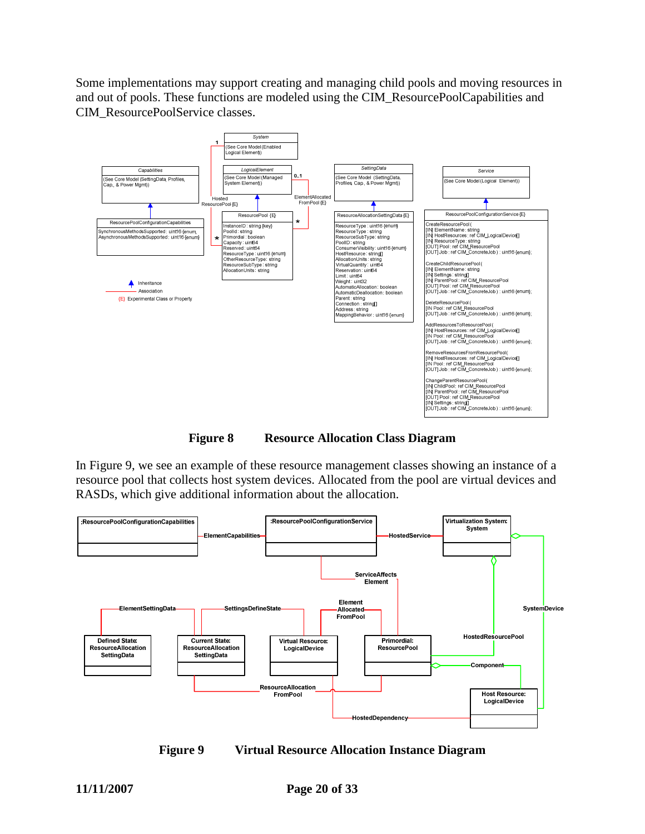<span id="page-19-0"></span>Some implementations may support creating and managing child pools and moving resources in and out of pools. These functions are modeled using the CIM\_ResourcePoolCapabilities and CIM\_ResourcePoolService classes.





<span id="page-19-1"></span>In [Figure 9](#page-19-2), we see an example of these resource management classes showing an instance of a resource pool that collects host system devices. Allocated from the pool are virtual devices and RASDs, which give additional information about the allocation.



<span id="page-19-2"></span>**Figure 9 Virtual Resource Allocation Instance Diagram**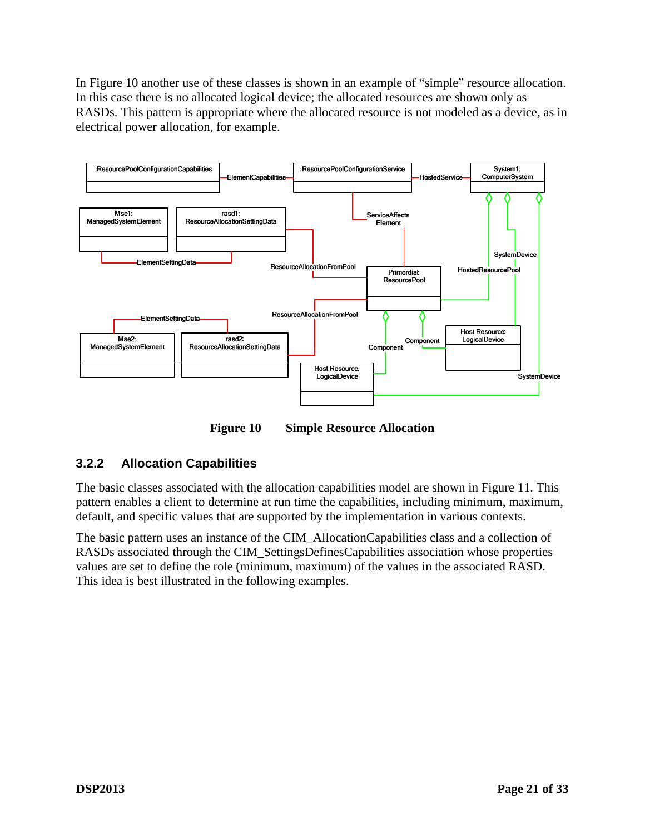<span id="page-20-0"></span>In [Figure 10](#page-20-1) another use of these classes is shown in an example of "simple" resource allocation. In this case there is no allocated logical device; the allocated resources are shown only as RASDs. This pattern is appropriate where the allocated resource is not modeled as a device, as in electrical power allocation, for example.



**Figure 10 Simple Resource Allocation** 

## <span id="page-20-1"></span>**3.2.2 Allocation Capabilities**

The basic classes associated with the allocation capabilities model are shown in [Figure 11](#page-21-1). This pattern enables a client to determine at run time the capabilities, including minimum, maximum, default, and specific values that are supported by the implementation in various contexts.

The basic pattern uses an instance of the CIM\_AllocationCapabilities class and a collection of RASDs associated through the CIM\_SettingsDefinesCapabilities association whose properties values are set to define the role (minimum, maximum) of the values in the associated RASD. This idea is best illustrated in the following examples.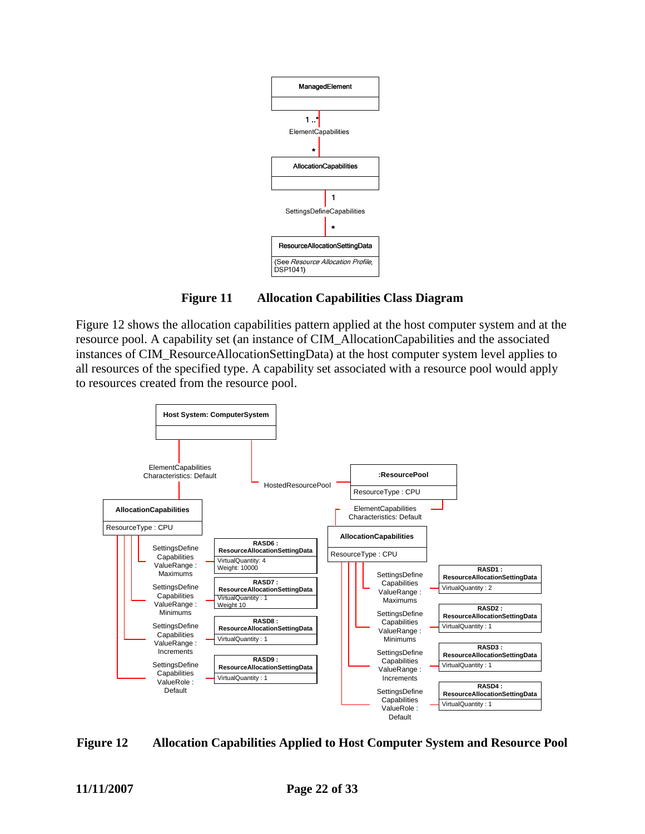<span id="page-21-0"></span>



<span id="page-21-1"></span>[Figure 12](#page-21-2) shows the allocation capabilities pattern applied at the host computer system and at the resource pool. A capability set (an instance of CIM\_AllocationCapabilities and the associated instances of CIM\_ResourceAllocationSettingData) at the host computer system level applies to all resources of the specified type. A capability set associated with a resource pool would apply to resources created from the resource pool.



<span id="page-21-2"></span>**Figure 12 Allocation Capabilities Applied to Host Computer System and Resource Pool**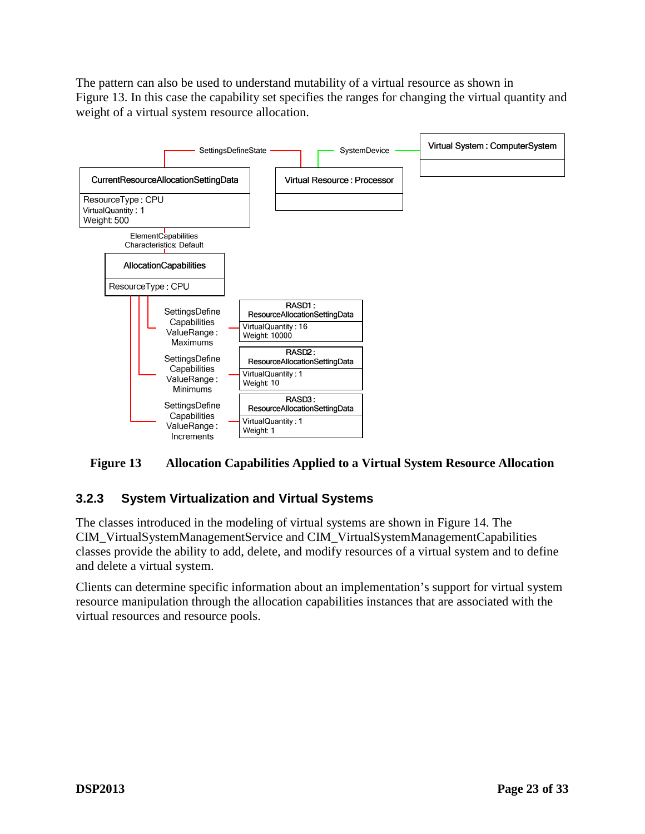<span id="page-22-0"></span>The pattern can also be used to understand mutability of a virtual resource as shown in [Figure 13](#page-22-1). In this case the capability set specifies the ranges for changing the virtual quantity and weight of a virtual system resource allocation.



#### **Figure 13 Allocation Capabilities Applied to a Virtual System Resource Allocation**

#### <span id="page-22-1"></span>**3.2.3 System Virtualization and Virtual Systems**

The classes introduced in the modeling of virtual systems are shown in [Figure 14.](#page-23-1) The CIM\_VirtualSystemManagementService and CIM\_VirtualSystemManagementCapabilities classes provide the ability to add, delete, and modify resources of a virtual system and to define and delete a virtual system.

Clients can determine specific information about an implementation's support for virtual system resource manipulation through the allocation capabilities instances that are associated with the virtual resources and resource pools.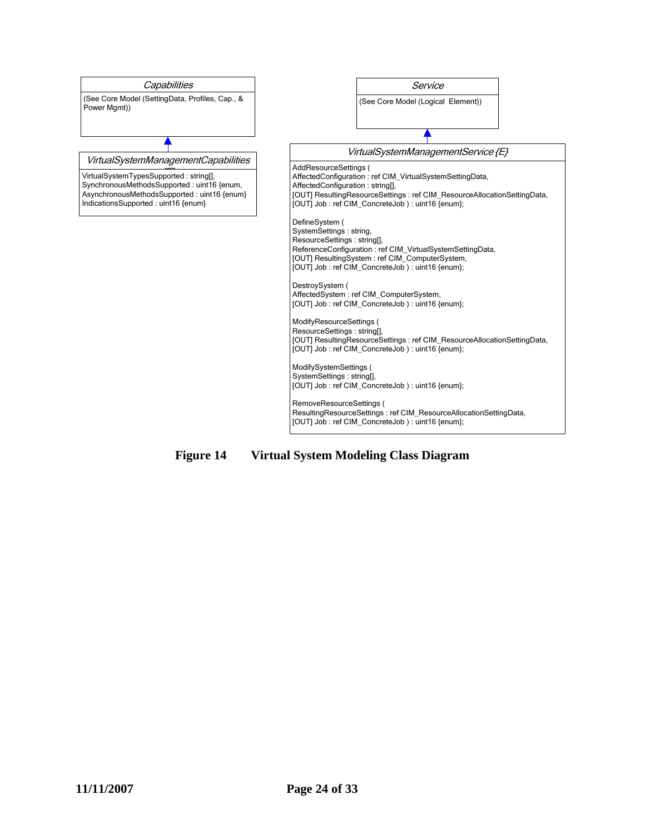<span id="page-23-0"></span>

<span id="page-23-1"></span>**Figure 14 Virtual System Modeling Class Diagram**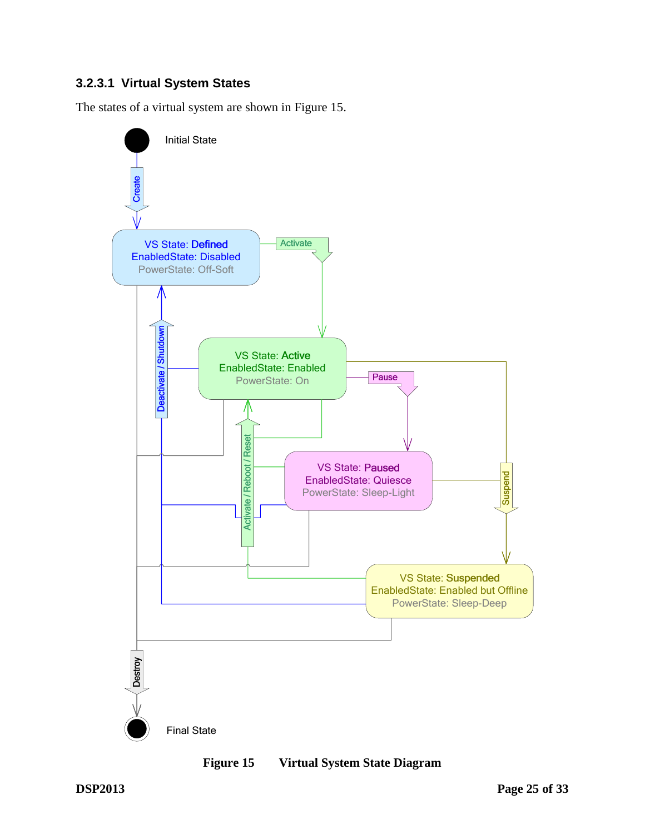### <span id="page-24-1"></span><span id="page-24-0"></span>**3.2.3.1 Virtual System States**

The states of a virtual system are shown in [Figure 15.](#page-24-2)



<span id="page-24-2"></span>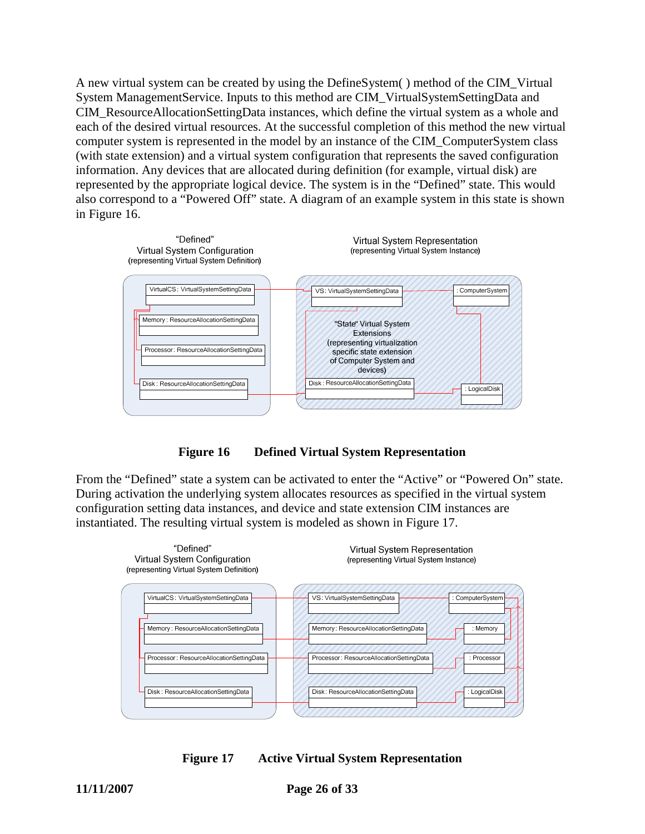<span id="page-25-0"></span>A new virtual system can be created by using the DefineSystem( ) method of the CIM\_Virtual System ManagementService. Inputs to this method are CIM\_VirtualSystemSettingData and CIM\_ResourceAllocationSettingData instances, which define the virtual system as a whole and each of the desired virtual resources. At the successful completion of this method the new virtual computer system is represented in the model by an instance of the CIM\_ComputerSystem class (with state extension) and a virtual system configuration that represents the saved configuration information. Any devices that are allocated during definition (for example, virtual disk) are represented by the appropriate logical device. The system is in the "Defined" state. This would also correspond to a "Powered Off" state. A diagram of an example system in this state is shown in [Figure 16.](#page-25-1)





<span id="page-25-1"></span>From the "Defined" state a system can be activated to enter the "Active" or "Powered On" state. During activation the underlying system allocates resources as specified in the virtual system configuration setting data instances, and device and state extension CIM instances are instantiated. The resulting virtual system is modeled as shown in [Figure 17](#page-25-2).



<span id="page-25-2"></span>**Figure 17 Active Virtual System Representation**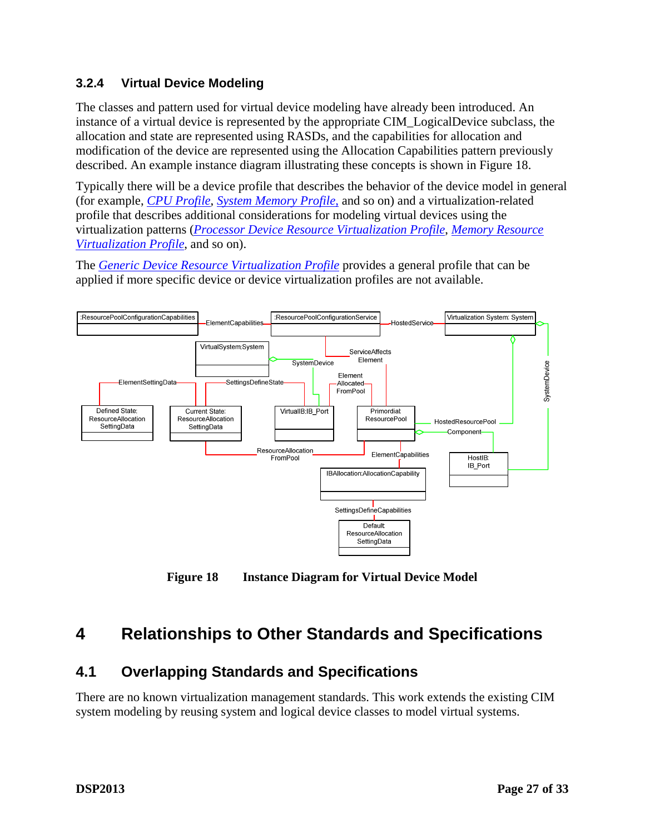### <span id="page-26-0"></span>**3.2.4 Virtual Device Modeling**

The classes and pattern used for virtual device modeling have already been introduced. An instance of a virtual device is represented by the appropriate CIM\_LogicalDevice subclass, the allocation and state are represented using RASDs, and the capabilities for allocation and modification of the device are represented using the Allocation Capabilities pattern previously described. An example instance diagram illustrating these concepts is shown in [Figure 18](#page-26-1).

Typically there will be a device profile that describes the behavior of the device model in general (for example, *[CPU Profile](#page-0-0)*, *[System Memory Profile](#page-0-0)*, and so on) and a virtualization-related profile that describes additional considerations for modeling virtual devices using the virtualization patterns (*[Processor Device Resource Virtualization Profile](#page-0-0)*, *[Memory Resource](#page-0-0)  [Virtualization Profile](#page-0-0)*, and so on).

The *[Generic Device Resource Virtualization Profile](#page-0-0)* provides a general profile that can be applied if more specific device or device virtualization profiles are not available.



**Figure 18 Instance Diagram for Virtual Device Model** 

# <span id="page-26-1"></span>**4 Relationships to Other Standards and Specifications**

## **4.1 Overlapping Standards and Specifications**

There are no known virtualization management standards. This work extends the existing CIM system modeling by reusing system and logical device classes to model virtual systems.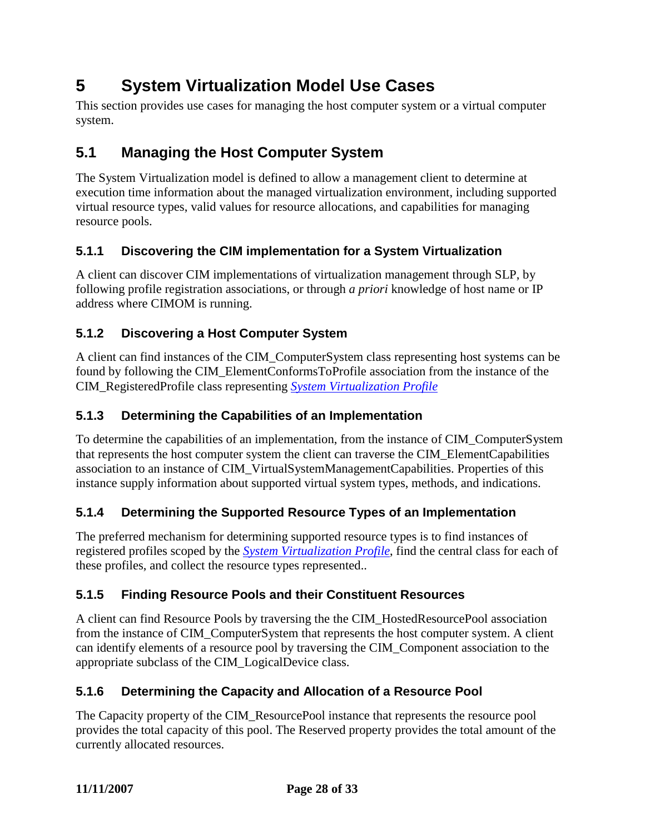# <span id="page-27-0"></span>**5 System Virtualization Model Use Cases**

This section provides use cases for managing the host computer system or a virtual computer system.

# **5.1 Managing the Host Computer System**

The System Virtualization model is defined to allow a management client to determine at execution time information about the managed virtualization environment, including supported virtual resource types, valid values for resource allocations, and capabilities for managing resource pools.

## **5.1.1 Discovering the CIM implementation for a System Virtualization**

A client can discover CIM implementations of virtualization management through SLP, by following profile registration associations, or through *a priori* knowledge of host name or IP address where CIMOM is running.

## **5.1.2 Discovering a Host Computer System**

A client can find instances of the CIM\_ComputerSystem class representing host systems can be found by following the CIM\_ElementConformsToProfile association from the instance of the CIM\_RegisteredProfile class representing *[System Virtualization Profile](#page-0-0)*

### **5.1.3 Determining the Capabilities of an Implementation**

To determine the capabilities of an implementation, from the instance of CIM\_ComputerSystem that represents the host computer system the client can traverse the CIM\_ElementCapabilities association to an instance of CIM\_VirtualSystemManagementCapabilities. Properties of this instance supply information about supported virtual system types, methods, and indications.

## **5.1.4 Determining the Supported Resource Types of an Implementation**

The preferred mechanism for determining supported resource types is to find instances of registered profiles scoped by the *[System Virtualization Profile](#page-0-0)*, find the central class for each of these profiles, and collect the resource types represented..

## **5.1.5 Finding Resource Pools and their Constituent Resources**

A client can find Resource Pools by traversing the the CIM\_HostedResourcePool association from the instance of CIM\_ComputerSystem that represents the host computer system. A client can identify elements of a resource pool by traversing the CIM\_Component association to the appropriate subclass of the CIM\_LogicalDevice class.

## **5.1.6 Determining the Capacity and Allocation of a Resource Pool**

The Capacity property of the CIM\_ResourcePool instance that represents the resource pool provides the total capacity of this pool. The Reserved property provides the total amount of the currently allocated resources.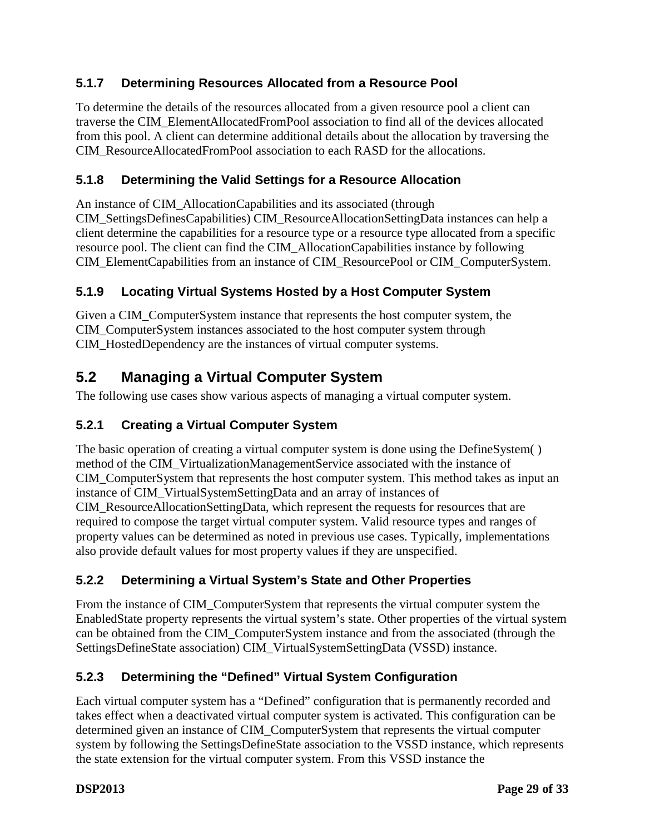### <span id="page-28-0"></span>**5.1.7 Determining Resources Allocated from a Resource Pool**

To determine the details of the resources allocated from a given resource pool a client can traverse the CIM\_ElementAllocatedFromPool association to find all of the devices allocated from this pool. A client can determine additional details about the allocation by traversing the CIM\_ResourceAllocatedFromPool association to each RASD for the allocations.

#### **5.1.8 Determining the Valid Settings for a Resource Allocation**

An instance of CIM\_AllocationCapabilities and its associated (through CIM\_SettingsDefinesCapabilities) CIM\_ResourceAllocationSettingData instances can help a client determine the capabilities for a resource type or a resource type allocated from a specific resource pool. The client can find the CIM\_AllocationCapabilities instance by following CIM\_ElementCapabilities from an instance of CIM\_ResourcePool or CIM\_ComputerSystem.

#### **5.1.9 Locating Virtual Systems Hosted by a Host Computer System**

Given a CIM\_ComputerSystem instance that represents the host computer system, the CIM\_ComputerSystem instances associated to the host computer system through CIM\_HostedDependency are the instances of virtual computer systems.

# **5.2 Managing a Virtual Computer System**

The following use cases show various aspects of managing a virtual computer system.

#### **5.2.1 Creating a Virtual Computer System**

The basic operation of creating a virtual computer system is done using the DefineSystem( ) method of the CIM\_VirtualizationManagementService associated with the instance of CIM\_ComputerSystem that represents the host computer system. This method takes as input an instance of CIM\_VirtualSystemSettingData and an array of instances of CIM\_ResourceAllocationSettingData, which represent the requests for resources that are required to compose the target virtual computer system. Valid resource types and ranges of property values can be determined as noted in previous use cases. Typically, implementations also provide default values for most property values if they are unspecified.

#### **5.2.2 Determining a Virtual System's State and Other Properties**

From the instance of CIM\_ComputerSystem that represents the virtual computer system the EnabledState property represents the virtual system's state. Other properties of the virtual system can be obtained from the CIM\_ComputerSystem instance and from the associated (through the SettingsDefineState association) CIM\_VirtualSystemSettingData (VSSD) instance.

#### **5.2.3 Determining the "Defined" Virtual System Configuration**

Each virtual computer system has a "Defined" configuration that is permanently recorded and takes effect when a deactivated virtual computer system is activated. This configuration can be determined given an instance of CIM\_ComputerSystem that represents the virtual computer system by following the SettingsDefineState association to the VSSD instance, which represents the state extension for the virtual computer system. From this VSSD instance the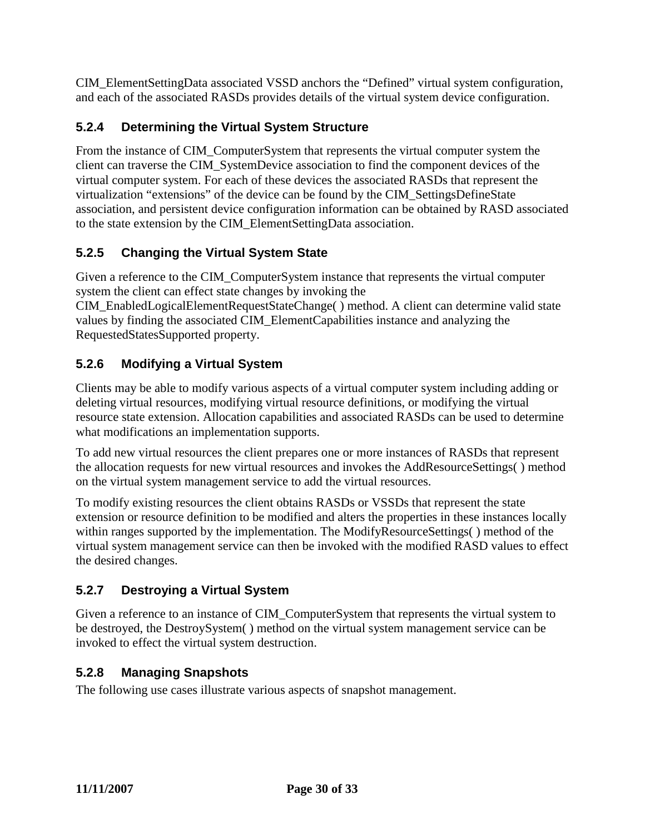<span id="page-29-0"></span>CIM\_ElementSettingData associated VSSD anchors the "Defined" virtual system configuration, and each of the associated RASDs provides details of the virtual system device configuration.

## **5.2.4 Determining the Virtual System Structure**

From the instance of CIM\_ComputerSystem that represents the virtual computer system the client can traverse the CIM\_SystemDevice association to find the component devices of the virtual computer system. For each of these devices the associated RASDs that represent the virtualization "extensions" of the device can be found by the CIM\_SettingsDefineState association, and persistent device configuration information can be obtained by RASD associated to the state extension by the CIM\_ElementSettingData association.

## **5.2.5 Changing the Virtual System State**

Given a reference to the CIM\_ComputerSystem instance that represents the virtual computer system the client can effect state changes by invoking the CIM\_EnabledLogicalElementRequestStateChange( ) method. A client can determine valid state

values by finding the associated CIM\_ElementCapabilities instance and analyzing the RequestedStatesSupported property.

### **5.2.6 Modifying a Virtual System**

Clients may be able to modify various aspects of a virtual computer system including adding or deleting virtual resources, modifying virtual resource definitions, or modifying the virtual resource state extension. Allocation capabilities and associated RASDs can be used to determine what modifications an implementation supports.

To add new virtual resources the client prepares one or more instances of RASDs that represent the allocation requests for new virtual resources and invokes the AddResourceSettings( ) method on the virtual system management service to add the virtual resources.

To modify existing resources the client obtains RASDs or VSSDs that represent the state extension or resource definition to be modified and alters the properties in these instances locally within ranges supported by the implementation. The ModifyResourceSettings( ) method of the virtual system management service can then be invoked with the modified RASD values to effect the desired changes.

#### **5.2.7 Destroying a Virtual System**

Given a reference to an instance of CIM\_ComputerSystem that represents the virtual system to be destroyed, the DestroySystem( ) method on the virtual system management service can be invoked to effect the virtual system destruction.

#### **5.2.8 Managing Snapshots**

The following use cases illustrate various aspects of snapshot management.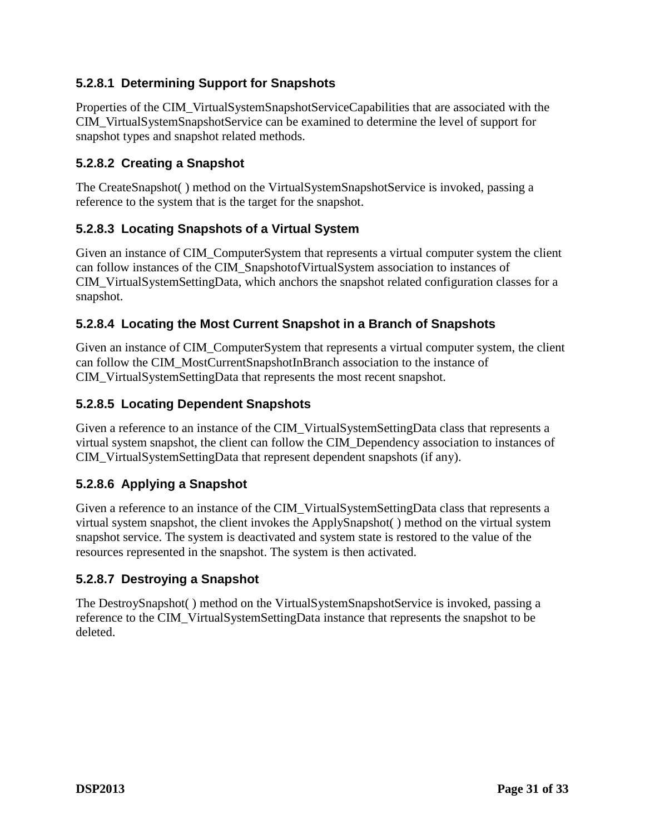## **5.2.8.1 Determining Support for Snapshots**

Properties of the CIM\_VirtualSystemSnapshotServiceCapabilities that are associated with the CIM\_VirtualSystemSnapshotService can be examined to determine the level of support for snapshot types and snapshot related methods.

#### **5.2.8.2 Creating a Snapshot**

The CreateSnapshot( ) method on the VirtualSystemSnapshotService is invoked, passing a reference to the system that is the target for the snapshot.

### **5.2.8.3 Locating Snapshots of a Virtual System**

Given an instance of CIM\_ComputerSystem that represents a virtual computer system the client can follow instances of the CIM\_SnapshotofVirtualSystem association to instances of CIM\_VirtualSystemSettingData, which anchors the snapshot related configuration classes for a snapshot.

#### **5.2.8.4 Locating the Most Current Snapshot in a Branch of Snapshots**

Given an instance of CIM\_ComputerSystem that represents a virtual computer system, the client can follow the CIM\_MostCurrentSnapshotInBranch association to the instance of CIM\_VirtualSystemSettingData that represents the most recent snapshot.

#### **5.2.8.5 Locating Dependent Snapshots**

Given a reference to an instance of the CIM\_VirtualSystemSettingData class that represents a virtual system snapshot, the client can follow the CIM\_Dependency association to instances of CIM\_VirtualSystemSettingData that represent dependent snapshots (if any).

#### **5.2.8.6 Applying a Snapshot**

Given a reference to an instance of the CIM\_VirtualSystemSettingData class that represents a virtual system snapshot, the client invokes the ApplySnapshot( ) method on the virtual system snapshot service. The system is deactivated and system state is restored to the value of the resources represented in the snapshot. The system is then activated.

#### **5.2.8.7 Destroying a Snapshot**

The DestroySnapshot( ) method on the VirtualSystemSnapshotService is invoked, passing a reference to the CIM\_VirtualSystemSettingData instance that represents the snapshot to be deleted.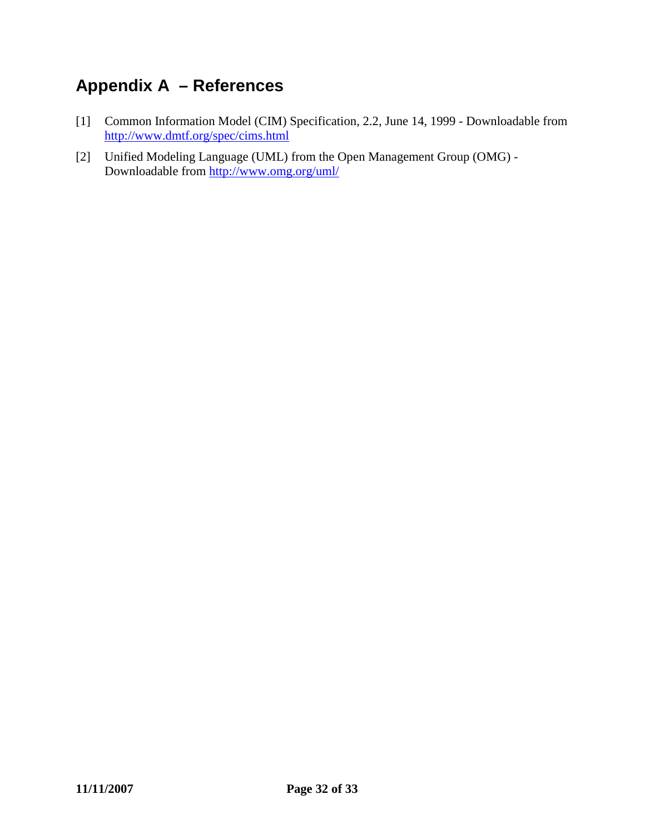# <span id="page-31-0"></span>**Appendix A – References**

- [1] Common Information Model (CIM) Specification, 2.2, June 14, 1999 Downloadable from <http://www.dmtf.org/spec/cims.html>
- [2] Unified Modeling Language (UML) from the Open Management Group (OMG) Downloadable from <http://www.omg.org/uml/>